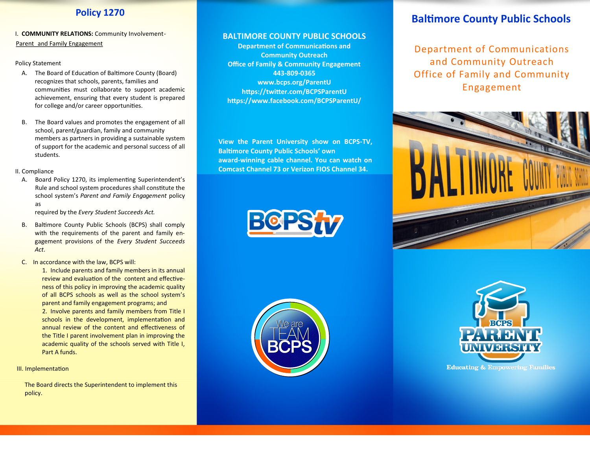I. **COMMUNITY RELATIONS:** Community Involvement-Parent and Family Engagement

### Policy Statement

- A. The Board of Education of Baltimore County (Board) recognizes that schools, parents, families and communities must collaborate to support academic achievement, ensuring that every student is prepared for college and/or career opportunities.
- B. The Board values and promotes the engagement of all school, parent/guardian, family and community members as partners in providing a sustainable system of support for the academic and personal success of all students.

### II. Compliance

A. Board Policy 1270, its implementing Superintendent's Rule and school system procedures shall constitute the school system's *Parent and Family Engagement* policy as

required by the *Every Student Succeeds Act.*

B. Baltimore County Public Schools (BCPS) shall comply with the requirements of the parent and family engagement provisions of the *Every Student Succeeds Act*.

C. In accordance with the law, BCPS will:

1. Include parents and family members in its annual review and evaluation of the content and effectiveness of this policy in improving the academic quality of all BCPS schools as well as the school system's parent and family engagement programs; and 2. Involve parents and family members from Title I schools in the development, implementation and annual review of the content and effectiveness of the Title I parent involvement plan in improving the academic quality of the schools served with Title I, Part A funds.

III. Implementation

The Board directs the Superintendent to implement this policy.

## **BALTIMORE COUNTY PUBLIC SCHOOLS**

**Department of Communications and Community Outreach Office of Family & Community Engagement 443-809-0365 www.bcps.org/ParentU https://twitter.com/BCPSParentU https://www.facebook.com/BCPSParentU/**

**View the Parent University show on BCPS-TV, Baltimore County Public Schools' own award-winning cable channel. You can watch on Comcast Channel 73 or Verizon FIOS Channel 34.**





# **Baltimore County Public Schools**

Department of Communications and Community Outreach Office of Family and Community Engagement





**Educating & Empowering Families**